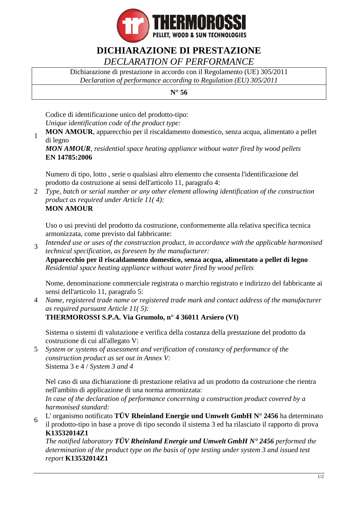

## **DICHIARAZIONE DI PRESTAZIONE** *DECLARATION OF PERFORMANCE*

Dichiarazione di prestazione in accordo con il Regolamento (UE) 305/2011 *Declaration of performance according to Regulation (EU) 305/2011*

## **N° 56**

Codice di identificazione unico del prodotto-tipo: *Unique identification code of the product type:*

1 **MON AMOUR**, apparecchio per il riscaldamento domestico, senza acqua, alimentato a pellet di legno

*MON AMOUR, residential space heating appliance without water fired by wood pellets* **EN 14785:2006**

Numero di tipo, lotto , serie o qualsiasi altro elemento che consenta l'identificazione del prodotto da costruzione ai sensi dell'articolo 11, paragrafo 4:

2 *Type, batch or serial number or any other element allowing identification of the construction product as required under Article 11( 4):* **MON AMOUR**

Uso o usi previsti del prodotto da costruzione, conformemente alla relativa specifica tecnica armonizzata, come previsto dal fabbricante:

3 *Intended use or uses of the construction product, in accordance with the applicable harmonised technical specification, as foreseen by the manufacturer:*

**Apparecchio per il riscaldamento domestico, senza acqua, alimentato a pellet di legno** *Residential space heating appliance without water fired by wood pellets*

Nome, denominazione commerciale registrata o marchio registrato e indirizzo del fabbricante ai sensi dell'articolo 11, paragrafo 5:

4 *Name, registered trade name or registered trade mark and contact address of the manufacturer as required pursuant Article 11( 5):*

**THERMOROSSI S.P.A. Via Grumolo, n° 4 36011 Arsiero (VI)**

Sistema o sistemi di valutazione e verifica della costanza della prestazione del prodotto da costruzione di cui all'allegato V:

5 *System or systems of assessment and verification of constancy of performance of the construction product as set out in Annex V:* Sistema 3 e 4 / *System 3 and 4*

Nel caso di una dichiarazione di prestazione relativa ad un prodotto da costruzione che rientra nell'ambito di applicazione di una norma armonizzata:

*In case of the declaration of performance concerning a construction product covered by a harmonised standard:*

6 L' organismo notificato **TÜV Rheinland Energie und Umwelt GmbH N° 2456** ha determinato il prodotto-tipo in base a prove di tipo secondo il sistema 3 ed ha rilasciato il rapporto di prova **K13532014Z1**

*The notified laboratory TÜV Rheinland Energie und Umwelt GmbH N° 2456 performed the determination of the product type on the basis of type testing under system 3 and issued test report* **K13532014Z1**